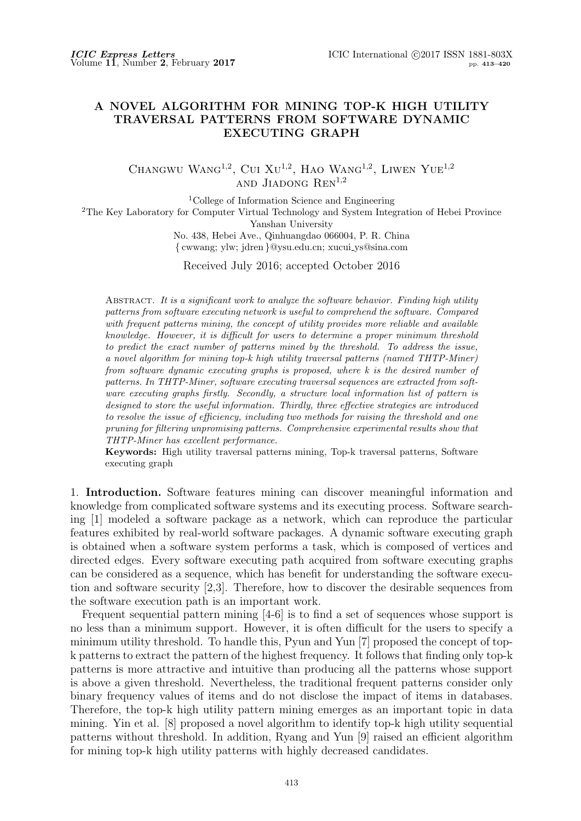## **A NOVEL ALGORITHM FOR MINING TOP-K HIGH UTILITY TRAVERSAL PATTERNS FROM SOFTWARE DYNAMIC EXECUTING GRAPH**

CHANGWU WANG<sup>1,2</sup>, CUI XU<sup>1,2</sup>, HAO WANG<sup>1,2</sup>, LIWEN YUE<sup>1,2</sup> and Jiadong Ren1*,*<sup>2</sup>

<sup>1</sup>College of Information Science and Engineering <sup>2</sup>The Key Laboratory for Computer Virtual Technology and System Integration of Hebei Province

Yanshan University

No. 438, Hebei Ave., Qinhuangdao 066004, P. R. China *{* cwwang; ylw; jdren *}*@ysu.edu.cn; xucui ys@sina.com

Received July 2016; accepted October 2016

Abstract. *It is a significant work to analyze the software behavior. Finding high utility patterns from software executing network is useful to comprehend the software. Compared with frequent patterns mining, the concept of utility provides more reliable and available knowledge. However, it is difficult for users to determine a proper minimum threshold to predict the exact number of patterns mined by the threshold. To address the issue, a novel algorithm for mining top-k high utility traversal patterns (named THTP-Miner) from software dynamic executing graphs is proposed, where k is the desired number of patterns. In THTP-Miner, software executing traversal sequences are extracted from software executing graphs firstly. Secondly, a structure local information list of pattern is designed to store the useful information. Thirdly, three effective strategies are introduced to resolve the issue of efficiency, including two methods for raising the threshold and one pruning for filtering unpromising patterns. Comprehensive experimental results show that THTP-Miner has excellent performance.*

**Keywords:** High utility traversal patterns mining, Top-k traversal patterns, Software executing graph

1. **Introduction.** Software features mining can discover meaningful information and knowledge from complicated software systems and its executing process. Software searching [1] modeled a software package as a network, which can reproduce the particular features exhibited by real-world software packages. A dynamic software executing graph is obtained when a software system performs a task, which is composed of vertices and directed edges. Every software executing path acquired from software executing graphs can be considered as a sequence, which has benefit for understanding the software execution and software security [2,3]. Therefore, how to discover the desirable sequences from the software execution path is an important work.

Frequent sequential pattern mining [4-6] is to find a set of sequences whose support is no less than a minimum support. However, it is often difficult for the users to specify a minimum utility threshold. To handle this, Pyun and Yun [7] proposed the concept of topk patterns to extract the pattern of the highest frequency. It follows that finding only top-k patterns is more attractive and intuitive than producing all the patterns whose support is above a given threshold. Nevertheless, the traditional frequent patterns consider only binary frequency values of items and do not disclose the impact of items in databases. Therefore, the top-k high utility pattern mining emerges as an important topic in data mining. Yin et al. [8] proposed a novel algorithm to identify top-k high utility sequential patterns without threshold. In addition, Ryang and Yun [9] raised an efficient algorithm for mining top-k high utility patterns with highly decreased candidates.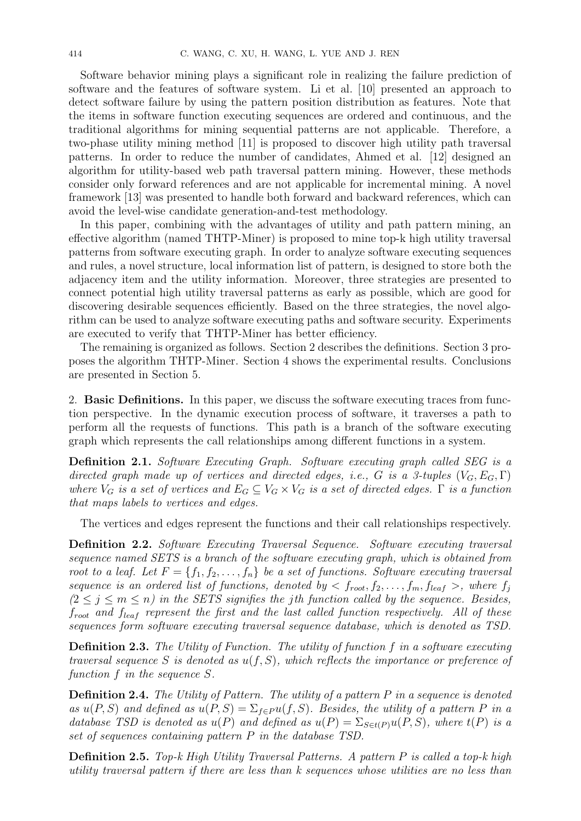Software behavior mining plays a significant role in realizing the failure prediction of software and the features of software system. Li et al. [10] presented an approach to detect software failure by using the pattern position distribution as features. Note that the items in software function executing sequences are ordered and continuous, and the traditional algorithms for mining sequential patterns are not applicable. Therefore, a two-phase utility mining method [11] is proposed to discover high utility path traversal patterns. In order to reduce the number of candidates, Ahmed et al. [12] designed an algorithm for utility-based web path traversal pattern mining. However, these methods consider only forward references and are not applicable for incremental mining. A novel framework [13] was presented to handle both forward and backward references, which can avoid the level-wise candidate generation-and-test methodology.

In this paper, combining with the advantages of utility and path pattern mining, an effective algorithm (named THTP-Miner) is proposed to mine top-k high utility traversal patterns from software executing graph. In order to analyze software executing sequences and rules, a novel structure, local information list of pattern, is designed to store both the adjacency item and the utility information. Moreover, three strategies are presented to connect potential high utility traversal patterns as early as possible, which are good for discovering desirable sequences efficiently. Based on the three strategies, the novel algorithm can be used to analyze software executing paths and software security. Experiments are executed to verify that THTP-Miner has better efficiency.

The remaining is organized as follows. Section 2 describes the definitions. Section 3 proposes the algorithm THTP-Miner. Section 4 shows the experimental results. Conclusions are presented in Section 5.

2. **Basic Definitions.** In this paper, we discuss the software executing traces from function perspective. In the dynamic execution process of software, it traverses a path to perform all the requests of functions. This path is a branch of the software executing graph which represents the call relationships among different functions in a system.

**Definition 2.1.** *Software Executing Graph. Software executing graph called SEG is a directed graph made up of vertices and directed edges, i.e., G is a 3-tuples*  $(V_G, E_G, \Gamma)$ *where*  $V_G$  *is a set of vertices and*  $E_G \subseteq V_G \times V_G$  *is a set of directed edges.*  $\Gamma$  *is a function that maps labels to vertices and edges.*

The vertices and edges represent the functions and their call relationships respectively.

**Definition 2.2.** *Software Executing Traversal Sequence. Software executing traversal sequence named SETS is a branch of the software executing graph, which is obtained from root to a leaf. Let*  $F = \{f_1, f_2, \ldots, f_n\}$  *be a set of functions. Software executing traversal sequence is an ordered list of functions, denoted by*  $\lt f_{root}, f_2, \ldots, f_m, f_{leaf} >$ , where  $f_i$  $(2 \leq j \leq m \leq n)$  *in the SETS signifies the jth function called by the sequence. Besides, froot and fleaf represent the first and the last called function respectively. All of these sequences form software executing traversal sequence database, which is denoted as TSD.*

**Definition 2.3.** *The Utility of Function. The utility of function f in a software executing traversal sequence S is denoted as u*(*f, S*)*, which reflects the importance or preference of function f in the sequence S.*

**Definition 2.4.** *The Utility of Pattern. The utility of a pattern P in a sequence is denoted as*  $u(P, S)$  *and defined as*  $u(P, S) = \sum_{f \in P} u(f, S)$ *. Besides, the utility of a pattern P in a database TSD is denoted as*  $u(P)$  *and defined as*  $u(P) = \sum_{S \in t(P)} u(P, S)$ *, where*  $t(P)$  *is a set of sequences containing pattern P in the database TSD.*

**Definition 2.5.** *Top-k High Utility Traversal Patterns. A pattern P is called a top-k high utility traversal pattern if there are less than k sequences whose utilities are no less than*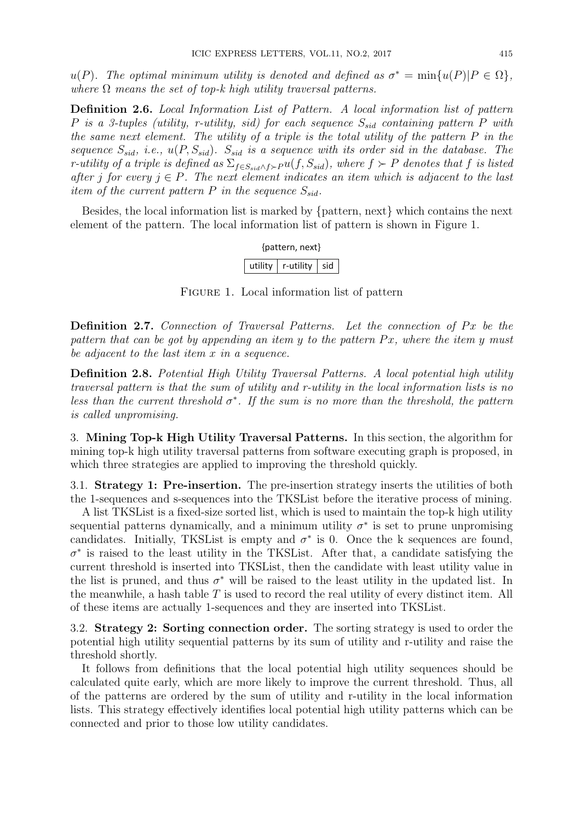$u(P)$ *. The optimal minimum utility is denoted and defined as*  $\sigma^* = \min\{u(P)|P \in \Omega\}$ *, where*  $\Omega$  *means the set of top-k high utility traversal patterns.* 

**Definition 2.6.** *Local Information List of Pattern. A local information list of pattern P is a 3-tuples (utility, r-utility, sid) for each sequence Ssid containing pattern P with the same next element. The utility of a triple is the total utility of the pattern P in the sequence*  $S_{sid}$ , *i.e.*,  $u(P, S_{sid})$ *.*  $S_{sid}$  *is a sequence with its order sid in the database. The* r-utility of a triple is defined as  $\Sigma_{f \in S_{sid} \wedge f \succ P} u(f, S_{sid})$ , where  $f \succ P$  denotes that f is listed *after j for every*  $j \in P$ *. The next element indicates an item which is adjacent to the last item of the current pattern*  $P$  *in the sequence*  $S_{sid}$ *.* 

Besides, the local information list is marked by *{*pattern, next*}* which contains the next element of the pattern. The local information list of pattern is shown in Figure 1.

| {pattern, next} |                               |  |  |  |  |  |  |
|-----------------|-------------------------------|--|--|--|--|--|--|
| utility         | $\vert$ r-utility $\vert$ sid |  |  |  |  |  |  |

FIGURE 1. Local information list of pattern

**Definition 2.7.** Connection of Traversal Patterns. Let the connection of Px be the *pattern that can be got by appending an item y to the pattern P x, where the item y must be adjacent to the last item x in a sequence.*

**Definition 2.8.** *Potential High Utility Traversal Patterns. A local potential high utility traversal pattern is that the sum of utility and r-utility in the local information lists is no less than the current threshold*  $\sigma^*$ . If the sum is no more than the threshold, the pattern *is called unpromising.*

3. **Mining Top-k High Utility Traversal Patterns.** In this section, the algorithm for mining top-k high utility traversal patterns from software executing graph is proposed, in which three strategies are applied to improving the threshold quickly.

3.1. **Strategy 1: Pre-insertion.** The pre-insertion strategy inserts the utilities of both the 1-sequences and s-sequences into the TKSList before the iterative process of mining.

A list TKSList is a fixed-size sorted list, which is used to maintain the top-k high utility sequential patterns dynamically, and a minimum utility  $\sigma^*$  is set to prune unpromising candidates. Initially, TKSList is empty and  $\sigma^*$  is 0. Once the k sequences are found,  $\sigma^*$  is raised to the least utility in the TKSList. After that, a candidate satisfying the current threshold is inserted into TKSList, then the candidate with least utility value in the list is pruned, and thus  $\sigma^*$  will be raised to the least utility in the updated list. In the meanwhile, a hash table *T* is used to record the real utility of every distinct item. All of these items are actually 1-sequences and they are inserted into TKSList.

3.2. **Strategy 2: Sorting connection order.** The sorting strategy is used to order the potential high utility sequential patterns by its sum of utility and r-utility and raise the threshold shortly.

It follows from definitions that the local potential high utility sequences should be calculated quite early, which are more likely to improve the current threshold. Thus, all of the patterns are ordered by the sum of utility and r-utility in the local information lists. This strategy effectively identifies local potential high utility patterns which can be connected and prior to those low utility candidates.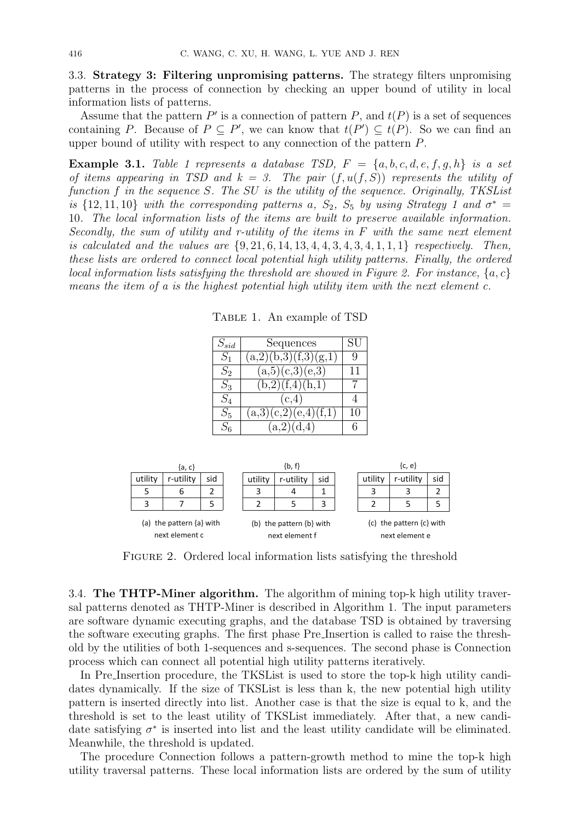3.3. **Strategy 3: Filtering unpromising patterns.** The strategy filters unpromising patterns in the process of connection by checking an upper bound of utility in local information lists of patterns.

Assume that the pattern  $P'$  is a connection of pattern  $P$ , and  $t(P)$  is a set of sequences containing *P*. Because of  $P \subseteq P'$ , we can know that  $t(P') \subseteq t(P)$ . So we can find an upper bound of utility with respect to any connection of the pattern *P*.

**Example 3.1.** *Table 1 represents a database TSD,*  $F = \{a, b, c, d, e, f, g, h\}$  *is a set of items appearing in TSD and*  $k = 3$ . The pair  $(f, u(f, S))$  represents the utility of *function f in the sequence S. The SU is the utility of the sequence. Originally, TKSList is*  $\{12, 11, 10\}$  *with the corresponding patterns a,*  $S_2$ ,  $S_5$  *by using Strategy 1 and*  $\sigma^*$  = 10*. The local information lists of the items are built to preserve available information. Secondly, the sum of utility and r-utility of the items in F with the same next element is calculated and the values are {*9*,* 21*,* 6*,* 14*,* 13*,* 4*,* 4*,* 3*,* 4*,* 3*,* 4*,* 1*,* 1*,* 1*} respectively. Then, these lists are ordered to connect local potential high utility patterns. Finally, the ordered local information lists satisfying the threshold are showed in Figure 2. For instance, {a, c} means the item of a is the highest potential high utility item with the next element c.*

Table 1. An example of TSD

| $S_{sid}$ | Sequences            | SU |
|-----------|----------------------|----|
| $S_1$     | (a,2)(b,3)(f,3)(g,1) | Q  |
| $S_2$     | (a,5)(c,3)(e,3)      | 11 |
| $S_3$     | (b,2)(f,4)(h,1)      | 7  |
| $S_4$     | (c,4)                | 4  |
| $S_{5}$   | (a,3)(c,2)(e,4)(f,1) | 10 |
| $S_6$     | (a,2)(d,4)           | 6  |

|                                            | {a, c}    |     |         | $\{b, f\}$                                     |     |         | ${c, e}$                                       |     |
|--------------------------------------------|-----------|-----|---------|------------------------------------------------|-----|---------|------------------------------------------------|-----|
| utility                                    | r-utility | sid | utility | r-utility                                      | sid | utility | r-utility                                      | sid |
|                                            | ь         |     | 3       | 4                                              |     | 3       | 3                                              |     |
| 3                                          |           |     |         |                                                |     |         | 5                                              | 5   |
| (a) the pattern {a} with<br>next element c |           |     |         | (b) the pattern $\{b\}$ with<br>next element f |     |         | (c) the pattern $\{c\}$ with<br>next element e |     |

FIGURE 2. Ordered local information lists satisfying the threshold

3.4. **The THTP-Miner algorithm.** The algorithm of mining top-k high utility traversal patterns denoted as THTP-Miner is described in Algorithm 1. The input parameters are software dynamic executing graphs, and the database TSD is obtained by traversing the software executing graphs. The first phase Pre Insertion is called to raise the threshold by the utilities of both 1-sequences and s-sequences. The second phase is Connection process which can connect all potential high utility patterns iteratively.

In Pre Insertion procedure, the TKSList is used to store the top-k high utility candidates dynamically. If the size of TKSList is less than k, the new potential high utility pattern is inserted directly into list. Another case is that the size is equal to k, and the threshold is set to the least utility of TKSList immediately. After that, a new candidate satisfying  $\sigma^*$  is inserted into list and the least utility candidate will be eliminated. Meanwhile, the threshold is updated.

The procedure Connection follows a pattern-growth method to mine the top-k high utility traversal patterns. These local information lists are ordered by the sum of utility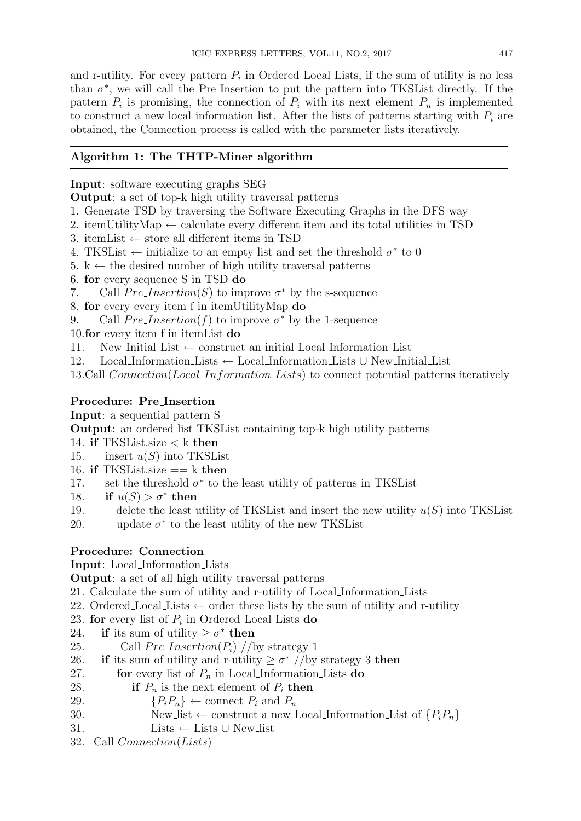and r-utility. For every pattern  $P_i$  in Ordered Local Lists, if the sum of utility is no less than  $\sigma^*$ , we will call the Pre\_Insertion to put the pattern into TKSL ist directly. If the pattern  $P_i$  is promising, the connection of  $P_i$  with its next element  $P_n$  is implemented to construct a new local information list. After the lists of patterns starting with  $P_i$  are obtained, the Connection process is called with the parameter lists iteratively.

## **Algorithm 1: The THTP-Miner algorithm**

#### **Input**: software executing graphs SEG

**Output**: a set of top-k high utility traversal patterns

- 1. Generate TSD by traversing the Software Executing Graphs in the DFS way
- 2. itemUtilityMap *←* calculate every different item and its total utilities in TSD
- 3. itemList *←* store all different items in TSD
- 4. TKSList  $\leftarrow$  initialize to an empty list and set the threshold  $\sigma^*$  to 0
- 5. k *←* the desired number of high utility traversal patterns
- 6. **for** every sequence S in TSD **do**
- 7. Call  $Pre-Insection(S)$  to improve  $\sigma^*$  by the s-sequence
- 8. **for** every every item f in itemUtilityMap **do**
- 9. Call  $Pre-Insection(f)$  to improve  $\sigma^*$  by the 1-sequence

10.**for** every item f in itemList **do**

- 11. New Initial List *←* construct an initial Local Information List
- 12. Local Information Lists *←* Local Information Lists *∪* New Initial List
- 13.Call *Connection*(*Local Information Lists*) to connect potential patterns iteratively

### **Procedure: Pre Insertion**

**Input**: a sequential pattern S

**Output**: an ordered list TKSList containing top-k high utility patterns

- 14. **if** TKSList.size *<* k **then**
- 15. insert *u*(*S*) into TKSList
- 16. **if** TKSList.size == k **then**
- 17. set the threshold  $\sigma^*$  to the least utility of patterns in TKSL ist
- 18. **if**  $u(S) > \sigma^*$  then
- 19. delete the least utility of TKSList and insert the new utility *u*(*S*) into TKSList
- 20. update  $\sigma^*$  to the least utility of the new TKSList

# **Procedure: Connection**

**Input**: Local Information Lists

**Output**: a set of all high utility traversal patterns

- 21. Calculate the sum of utility and r-utility of Local Information Lists
- 22. Ordered Local Lists *←* order these lists by the sum of utility and r-utility
- 23. **for** every list of *P<sup>i</sup>* in Ordered Local Lists **do**
- 24. **if** its sum of utility  $\geq \sigma^*$  then
- 25. Call  $Pre-Insection(P_i)$  //by strategy 1
- 26. **if** its sum of utility and r-utility  $\geq \sigma^*$  //by strategy 3 **then**
- 27. **for** every list of *P<sup>n</sup>* in Local Information Lists **do**
- 28. **if**  $P_n$  is the next element of  $P_i$  **then**
- 29.  ${P_i P_n} \leftarrow \text{connect } P_i \text{ and } P_n$
- 30. New list  $\leftarrow$  construct a new Local Information List of  $\{P_iP_n\}$
- 31. Lists *←* Lists *∪* New list
- 32. Call *Connection*(*Lists*)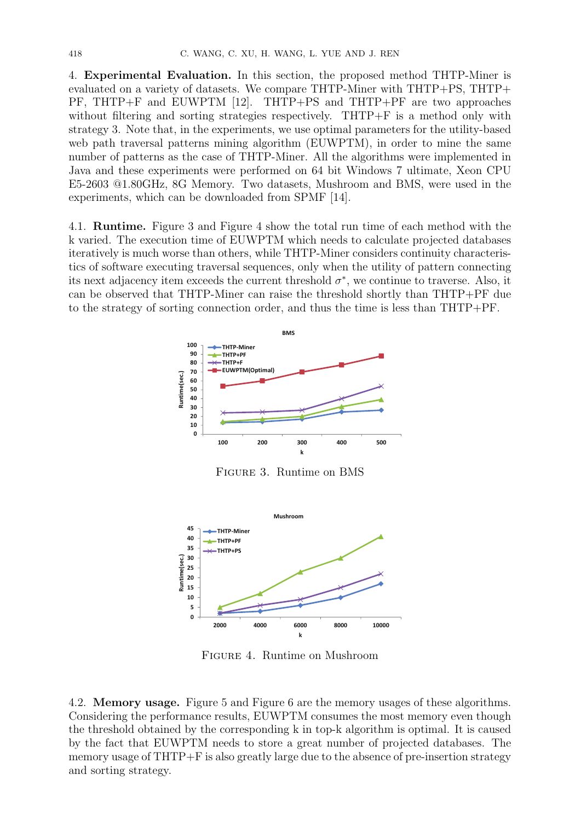4. **Experimental Evaluation.** In this section, the proposed method THTP-Miner is evaluated on a variety of datasets. We compare THTP-Miner with THTP+PS, THTP+ PF, THTP+F and EUWPTM [12]. THTP+PS and THTP+PF are two approaches without filtering and sorting strategies respectively. THTP+F is a method only with strategy 3. Note that, in the experiments, we use optimal parameters for the utility-based web path traversal patterns mining algorithm (EUWPTM), in order to mine the same number of patterns as the case of THTP-Miner. All the algorithms were implemented in Java and these experiments were performed on 64 bit Windows 7 ultimate, Xeon CPU E5-2603 @1.80GHz, 8G Memory. Two datasets, Mushroom and BMS, were used in the experiments, which can be downloaded from SPMF [14].

4.1. **Runtime.** Figure 3 and Figure 4 show the total run time of each method with the k varied. The execution time of EUWPTM which needs to calculate projected databases iteratively is much worse than others, while THTP-Miner considers continuity characteristics of software executing traversal sequences, only when the utility of pattern connecting its next adjacency item exceeds the current threshold  $\sigma^*$ , we continue to traverse. Also, it can be observed that THTP-Miner can raise the threshold shortly than THTP+PF due to the strategy of sorting connection order, and thus the time is less than THTP+PF.



Figure 3. Runtime on BMS



Figure 4. Runtime on Mushroom

4.2. **Memory usage.** Figure 5 and Figure 6 are the memory usages of these algorithms. Considering the performance results, EUWPTM consumes the most memory even though the threshold obtained by the corresponding k in top-k algorithm is optimal. It is caused by the fact that EUWPTM needs to store a great number of projected databases. The memory usage of THTP+F is also greatly large due to the absence of pre-insertion strategy and sorting strategy.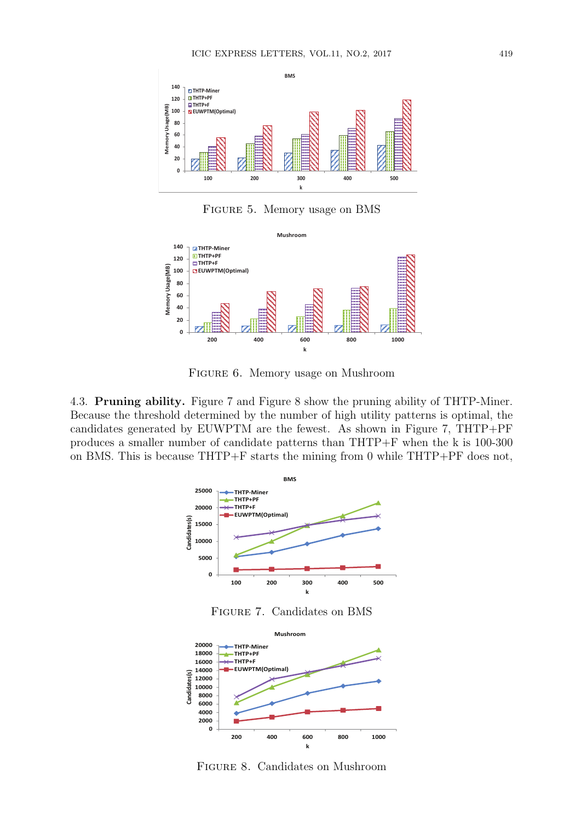

Figure 5. Memory usage on BMS



Figure 6. Memory usage on Mushroom

4.3. **Pruning ability.** Figure 7 and Figure 8 show the pruning ability of THTP-Miner. Because the threshold determined by the number of high utility patterns is optimal, the candidates generated by EUWPTM are the fewest. As shown in Figure 7, THTP+PF produces a smaller number of candidate patterns than THTP+F when the k is 100-300 on BMS. This is because THTP+F starts the mining from 0 while THTP+PF does not,



Figure 8. Candidates on Mushroom